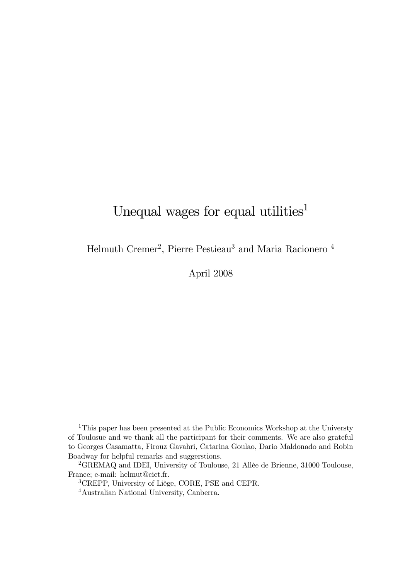# Unequal wages for equal utilities<sup>1</sup>

Helmuth Cremer<sup>2</sup>, Pierre Pestieau<sup>3</sup> and Maria Racionero<sup>4</sup>

April 2008

<sup>1</sup>This paper has been presented at the Public Economics Workshop at the Universty of Toulosue and we thank all the participant for their comments. We are also grateful to Georges Casamatta, Firouz Gavahri, Catarina Goulao, Dario Maldonado and Robin Boadway for helpful remarks and suggerstions.

<sup>2</sup>GREMAQ and IDEI, University of Toulouse, 21 Allée de Brienne, 31000 Toulouse, France; e-mail: helmut@cict.fr.

<sup>3</sup>CREPP, University of Liège, CORE, PSE and CEPR.

<sup>4</sup>Australian National University, Canberra.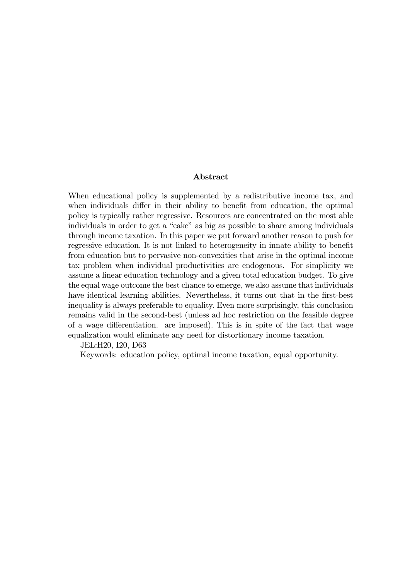#### Abstract

When educational policy is supplemented by a redistributive income tax, and when individuals differ in their ability to benefit from education, the optimal policy is typically rather regressive. Resources are concentrated on the most able individuals in order to get a "cake" as big as possible to share among individuals through income taxation. In this paper we put forward another reason to push for regressive education. It is not linked to heterogeneity in innate ability to benefit from education but to pervasive non-convexities that arise in the optimal income tax problem when individual productivities are endogenous. For simplicity we assume a linear education technology and a given total education budget. To give the equal wage outcome the best chance to emerge, we also assume that individuals have identical learning abilities. Nevertheless, it turns out that in the first-best inequality is always preferable to equality. Even more surprisingly, this conclusion remains valid in the second-best (unless ad hoc restriction on the feasible degree of a wage differentiation. are imposed). This is in spite of the fact that wage equalization would eliminate any need for distortionary income taxation.

JEL:H20, I20, D63

Keywords: education policy, optimal income taxation, equal opportunity.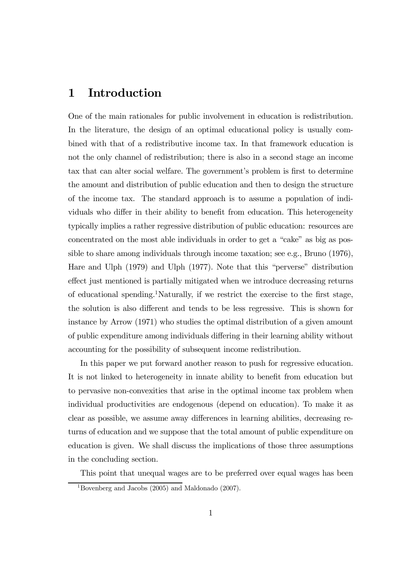## 1 Introduction

One of the main rationales for public involvement in education is redistribution. In the literature, the design of an optimal educational policy is usually combined with that of a redistributive income tax. In that framework education is not the only channel of redistribution; there is also in a second stage an income tax that can alter social welfare. The government's problem is first to determine the amount and distribution of public education and then to design the structure of the income tax. The standard approach is to assume a population of individuals who differ in their ability to benefit from education. This heterogeneity typically implies a rather regressive distribution of public education: resources are concentrated on the most able individuals in order to get a "cake" as big as possible to share among individuals through income taxation; see e.g., Bruno (1976), Hare and Ulph (1979) and Ulph (1977). Note that this "perverse" distribution effect just mentioned is partially mitigated when we introduce decreasing returns of educational spending.<sup>1</sup>Naturally, if we restrict the exercise to the first stage, the solution is also different and tends to be less regressive. This is shown for instance by Arrow (1971) who studies the optimal distribution of a given amount of public expenditure among individuals differing in their learning ability without accounting for the possibility of subsequent income redistribution.

In this paper we put forward another reason to push for regressive education. It is not linked to heterogeneity in innate ability to benefit from education but to pervasive non-convexities that arise in the optimal income tax problem when individual productivities are endogenous (depend on education). To make it as clear as possible, we assume away differences in learning abilities, decreasing returns of education and we suppose that the total amount of public expenditure on education is given. We shall discuss the implications of those three assumptions in the concluding section.

This point that unequal wages are to be preferred over equal wages has been

<sup>&</sup>lt;sup>1</sup>Bovenberg and Jacobs (2005) and Maldonado (2007).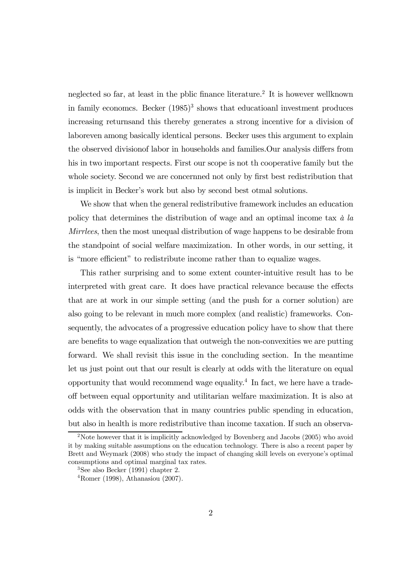neglected so far, at least in the polic finance literature.<sup>2</sup> It is however wellknown in family economcs. Becker  $(1985)^3$  shows that educatioanl investment produces increasing returnsand this thereby generates a strong incentive for a division of laboreven among basically identical persons. Becker uses this argument to explain the observed divisionof labor in households and families.Our analysis differs from his in two important respects. First our scope is not th cooperative family but the whole society. Second we are concernned not only by first best redistribution that is implicit in Becker's work but also by second best otmal solutions.

We show that when the general redistributive framework includes an education policy that determines the distribution of wage and an optimal income tax  $\dot{a}$  la Mirrlees, then the most unequal distribution of wage happens to be desirable from the standpoint of social welfare maximization. In other words, in our setting, it is "more efficient" to redistribute income rather than to equalize wages.

This rather surprising and to some extent counter-intuitive result has to be interpreted with great care. It does have practical relevance because the effects that are at work in our simple setting (and the push for a corner solution) are also going to be relevant in much more complex (and realistic) frameworks. Consequently, the advocates of a progressive education policy have to show that there are benefits to wage equalization that outweigh the non-convexities we are putting forward. We shall revisit this issue in the concluding section. In the meantime let us just point out that our result is clearly at odds with the literature on equal opportunity that would recommend wage equality.<sup>4</sup> In fact, we here have a tradeoff between equal opportunity and utilitarian welfare maximization. It is also at odds with the observation that in many countries public spending in education, but also in health is more redistributive than income taxation. If such an observa-

<sup>&</sup>lt;sup>2</sup>Note however that it is implicitly acknowledged by Bovenberg and Jacobs (2005) who avoid it by making suitable assumptions on the education technology. There is also a recent paper by Brett and Weymark (2008) who study the impact of changing skill levels on everyone's optimal consumptions and optimal marginal tax rates.

 $3$ See also Becker (1991) chapter 2.

<sup>4</sup>Romer (1998), Athanasiou (2007).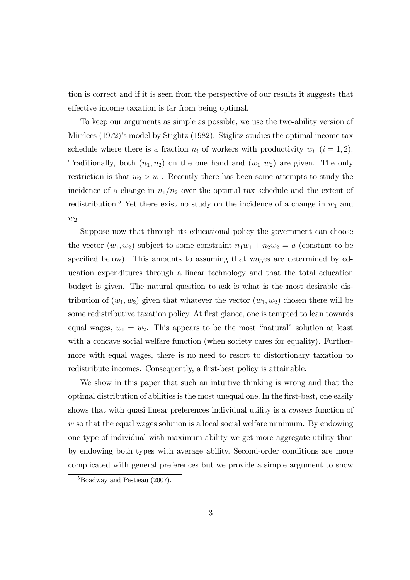tion is correct and if it is seen from the perspective of our results it suggests that effective income taxation is far from being optimal.

To keep our arguments as simple as possible, we use the two-ability version of Mirrlees (1972)'s model by Stiglitz (1982). Stiglitz studies the optimal income tax schedule where there is a fraction  $n_i$  of workers with productivity  $w_i$   $(i = 1, 2)$ . Traditionally, both  $(n_1, n_2)$  on the one hand and  $(w_1, w_2)$  are given. The only restriction is that  $w_2 > w_1$ . Recently there has been some attempts to study the incidence of a change in  $n_1/n_2$  over the optimal tax schedule and the extent of redistribution.<sup>5</sup> Yet there exist no study on the incidence of a change in  $w_1$  and  $w_2$ .

Suppose now that through its educational policy the government can choose the vector  $(w_1, w_2)$  subject to some constraint  $n_1w_1 + n_2w_2 = a$  (constant to be specified below). This amounts to assuming that wages are determined by education expenditures through a linear technology and that the total education budget is given. The natural question to ask is what is the most desirable distribution of  $(w_1, w_2)$  given that whatever the vector  $(w_1, w_2)$  chosen there will be some redistributive taxation policy. At first glance, one is tempted to lean towards equal wages,  $w_1 = w_2$ . This appears to be the most "natural" solution at least with a concave social welfare function (when society cares for equality). Furthermore with equal wages, there is no need to resort to distortionary taxation to redistribute incomes. Consequently, a first-best policy is attainable.

We show in this paper that such an intuitive thinking is wrong and that the optimal distribution of abilities is the most unequal one. In the first-best, one easily shows that with quasi linear preferences individual utility is a *convex* function of w so that the equal wages solution is a local social welfare minimum. By endowing one type of individual with maximum ability we get more aggregate utility than by endowing both types with average ability. Second-order conditions are more complicated with general preferences but we provide a simple argument to show

<sup>&</sup>lt;sup>5</sup>Boadway and Pestieau (2007).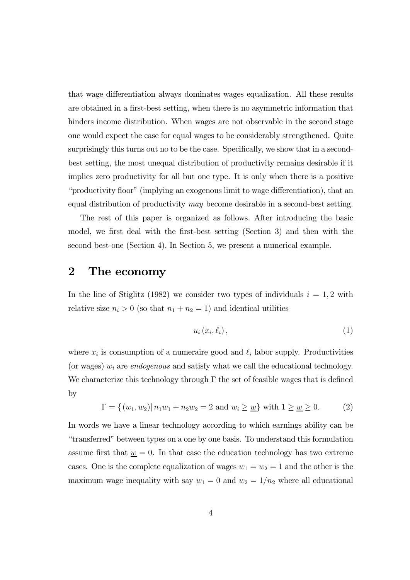that wage differentiation always dominates wages equalization. All these results are obtained in a first-best setting, when there is no asymmetric information that hinders income distribution. When wages are not observable in the second stage one would expect the case for equal wages to be considerably strengthened. Quite surprisingly this turns out no to be the case. Specifically, we show that in a secondbest setting, the most unequal distribution of productivity remains desirable if it implies zero productivity for all but one type. It is only when there is a positive "productivity floor" (implying an exogenous limit to wage differentiation), that an equal distribution of productivity may become desirable in a second-best setting.

The rest of this paper is organized as follows. After introducing the basic model, we first deal with the first-best setting (Section 3) and then with the second best-one (Section 4). In Section 5, we present a numerical example.

### 2 The economy

In the line of Stiglitz (1982) we consider two types of individuals  $i = 1, 2$  with relative size  $n_i > 0$  (so that  $n_1 + n_2 = 1$ ) and identical utilities

$$
u_i(x_i, \ell_i), \tag{1}
$$

where  $x_i$  is consumption of a numeraire good and  $\ell_i$  labor supply. Productivities (or wages)  $w_i$  are endogenous and satisfy what we call the educational technology. We characterize this technology through  $\Gamma$  the set of feasible wages that is defined by

$$
\Gamma = \{(w_1, w_2) | n_1 w_1 + n_2 w_2 = 2 \text{ and } w_i \ge \underline{w}\} \text{ with } 1 \ge \underline{w} \ge 0. \tag{2}
$$

In words we have a linear technology according to which earnings ability can be "transferred" between types on a one by one basis. To understand this formulation assume first that  $\underline{w} = 0$ . In that case the education technology has two extreme cases. One is the complete equalization of wages  $w_1 = w_2 = 1$  and the other is the maximum wage inequality with say  $w_1 = 0$  and  $w_2 = 1/n_2$  where all educational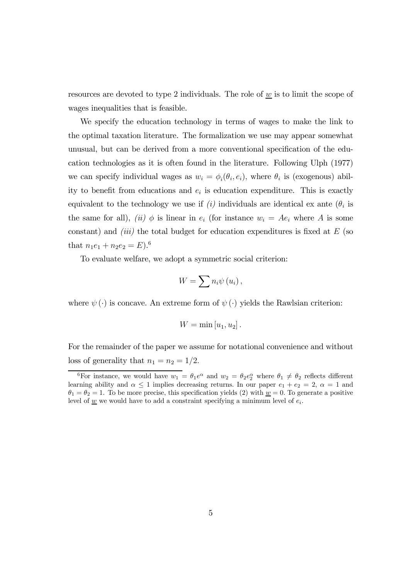resources are devoted to type 2 individuals. The role of  $\underline{w}$  is to limit the scope of wages inequalities that is feasible.

We specify the education technology in terms of wages to make the link to the optimal taxation literature. The formalization we use may appear somewhat unusual, but can be derived from a more conventional specification of the education technologies as it is often found in the literature. Following Ulph (1977) we can specify individual wages as  $w_i = \phi_i(\theta_i, e_i)$ , where  $\theta_i$  is (exogenous) ability to benefit from educations and  $e_i$  is education expenditure. This is exactly equivalent to the technology we use if  $(i)$  individuals are identical ex ante  $(\theta_i)$  is the same for all), (ii)  $\phi$  is linear in  $e_i$  (for instance  $w_i = Ae_i$  where A is some constant) and *(iii)* the total budget for education expenditures is fixed at  $E$  (so that  $n_1e_1 + n_2e_2 = E$ .<sup>6</sup>

To evaluate welfare, we adopt a symmetric social criterion:

$$
W=\sum n_{i}\psi\left( u_{i}\right) ,
$$

where  $\psi(\cdot)$  is concave. An extreme form of  $\psi(\cdot)$  yields the Rawlsian criterion:

$$
W = \min[u_1, u_2].
$$

For the remainder of the paper we assume for notational convenience and without loss of generality that  $n_1 = n_2 = 1/2$ .

<sup>&</sup>lt;sup>6</sup>For instance, we would have  $w_1 = \theta_1 e^{\alpha}$  and  $w_2 = \theta_2 e_2^{\alpha}$  where  $\theta_1 \neq \theta_2$  reflects different learning ability and  $\alpha \leq 1$  implies decreasing returns. In our paper  $e_1 + e_2 = 2$ ,  $\alpha = 1$  and  $\theta_1 = \theta_2 = 1$ . To be more precise, this specification yields (2) with  $\underline{w} = 0$ . To generate a positive level of  $\underline{w}$  we would have to add a constraint specifying a minimum level of  $e_i$ .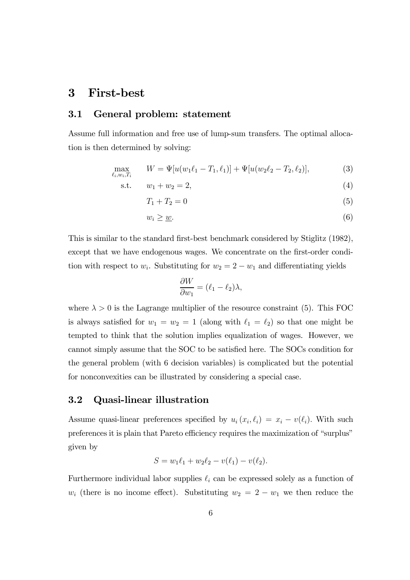# 3 First-best

#### 3.1 General problem: statement

Assume full information and free use of lump-sum transfers. The optimal allocation is then determined by solving:

$$
\max_{\ell_i, w_i, T_i} \qquad W = \Psi[u(w_1\ell_1 - T_1, \ell_1)] + \Psi[u(w_2\ell_2 - T_2, \ell_2)],\tag{3}
$$

s.t. 
$$
w_1 + w_2 = 2,
$$
 (4)

$$
T_1 + T_2 = 0 \tag{5}
$$

$$
w_i \geq \underline{w}.\tag{6}
$$

This is similar to the standard first-best benchmark considered by Stiglitz (1982), except that we have endogenous wages. We concentrate on the first-order condition with respect to  $w_i$ . Substituting for  $w_2 = 2 - w_1$  and differentiating yields

$$
\frac{\partial W}{\partial w_1} = (\ell_1 - \ell_2)\lambda,
$$

where  $\lambda > 0$  is the Lagrange multiplier of the resource constraint (5). This FOC is always satisfied for  $w_1 = w_2 = 1$  (along with  $\ell_1 = \ell_2$ ) so that one might be tempted to think that the solution implies equalization of wages. However, we cannot simply assume that the SOC to be satisfied here. The SOCs condition for the general problem (with 6 decision variables) is complicated but the potential for nonconvexities can be illustrated by considering a special case.

#### 3.2 Quasi-linear illustration

Assume quasi-linear preferences specified by  $u_i(x_i, \ell_i) = x_i - v(\ell_i)$ . With such preferences it is plain that Pareto efficiency requires the maximization of "surplus" given by

$$
S = w_1 \ell_1 + w_2 \ell_2 - v(\ell_1) - v(\ell_2).
$$

Furthermore individual labor supplies  $\ell_i$  can be expressed solely as a function of  $w_i$  (there is no income effect). Substituting  $w_2 = 2 - w_1$  we then reduce the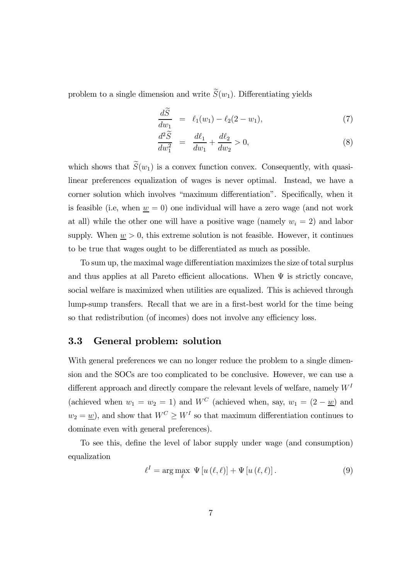problem to a single dimension and write  $S(w_1)$ . Differentiating yields

$$
\frac{dS}{dw_1} = \ell_1(w_1) - \ell_2(2 - w_1), \tag{7}
$$

$$
\frac{d^2\widetilde{S}}{dw_1^2} = \frac{d\ell_1}{dw_1} + \frac{d\ell_2}{dw_2} > 0,
$$
\n(8)

which shows that  $S(w_1)$  is a convex function convex. Consequently, with quasilinear preferences equalization of wages is never optimal. Instead, we have a corner solution which involves "maximum differentiation". Specifically, when it is feasible (i.e, when  $\underline{w} = 0$ ) one individual will have a zero wage (and not work at all) while the other one will have a positive wage (namely  $w_i = 2$ ) and labor supply. When  $\underline{w} > 0$ , this extreme solution is not feasible. However, it continues to be true that wages ought to be differentiated as much as possible.

To sum up, the maximal wage differentiation maximizes the size of total surplus and thus applies at all Pareto efficient allocations. When  $\Psi$  is strictly concave, social welfare is maximized when utilities are equalized. This is achieved through lump-sump transfers. Recall that we are in a first-best world for the time being so that redistribution (of incomes) does not involve any efficiency loss.

#### 3.3 General problem: solution

With general preferences we can no longer reduce the problem to a single dimension and the SOCs are too complicated to be conclusive. However, we can use a different approach and directly compare the relevant levels of welfare, namely  $W<sup>I</sup>$ (achieved when  $w_1 = w_2 = 1$ ) and  $W^C$  (achieved when, say,  $w_1 = (2 - \underline{w})$  and  $w_2 = \underline{w}$ , and show that  $W^C \geq W^I$  so that maximum differentiation continues to dominate even with general preferences).

To see this, define the level of labor supply under wage (and consumption) equalization

$$
\ell^{I} = \arg \max_{\ell} \Psi \left[ u \left( \ell, \ell \right) \right] + \Psi \left[ u \left( \ell, \ell \right) \right]. \tag{9}
$$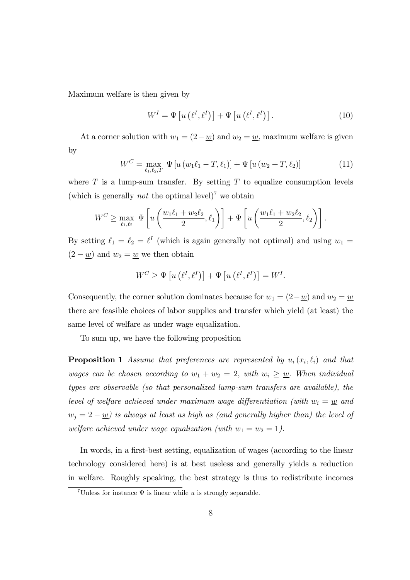Maximum welfare is then given by

$$
W^{I} = \Psi \left[ u \left( \ell^{I}, \ell^{I} \right) \right] + \Psi \left[ u \left( \ell^{I}, \ell^{I} \right) \right]. \tag{10}
$$

At a corner solution with  $w_1 = (2 - w)$  and  $w_2 = w$ , maximum welfare is given by

$$
W^{C} = \max_{\ell_1, \ell_2, T} \Psi \left[ u \left( w_1 \ell_1 - T, \ell_1 \right) \right] + \Psi \left[ u \left( w_2 + T, \ell_2 \right) \right] \tag{11}
$$

where  $T$  is a lump-sum transfer. By setting  $T$  to equalize consumption levels (which is generally *not* the optimal level)<sup>7</sup> we obtain

$$
W^C \ge \max_{\ell_1,\ell_2} \Psi\left[u\left(\frac{w_1\ell_1 + w_2\ell_2}{2}, \ell_1\right)\right] + \Psi\left[u\left(\frac{w_1\ell_1 + w_2\ell_2}{2}, \ell_2\right)\right].
$$

By setting  $\ell_1 = \ell_2 = \ell^I$  (which is again generally not optimal) and using  $w_1 =$  $(2 - w)$  and  $w_2 = w$  we then obtain

$$
W^{C} \geq \Psi \left[ u \left( \ell^{I}, \ell^{I} \right) \right] + \Psi \left[ u \left( \ell^{I}, \ell^{I} \right) \right] = W^{I}.
$$

Consequently, the corner solution dominates because for  $w_1 = (2 - \underline{w})$  and  $w_2 = \underline{w}$ there are feasible choices of labor supplies and transfer which yield (at least) the same level of welfare as under wage equalization.

To sum up, we have the following proposition

**Proposition 1** Assume that preferences are represented by  $u_i(x_i, \ell_i)$  and that wages can be chosen according to  $w_1 + w_2 = 2$ , with  $w_i \geq \underline{w}$ . When individual types are observable (so that personalized lump-sum transfers are available), the level of welfare achieved under maximum wage differentiation (with  $w_i = \underline{w}$  and  $w_j = 2 - \underline{w}$ ) is always at least as high as (and generally higher than) the level of welfare achieved under wage equalization (with  $w_1 = w_2 = 1$ ).

In words, in a first-best setting, equalization of wages (according to the linear technology considered here) is at best useless and generally yields a reduction in welfare. Roughly speaking, the best strategy is thus to redistribute incomes

<sup>&</sup>lt;sup>7</sup>Unless for instance  $\Psi$  is linear while u is strongly separable.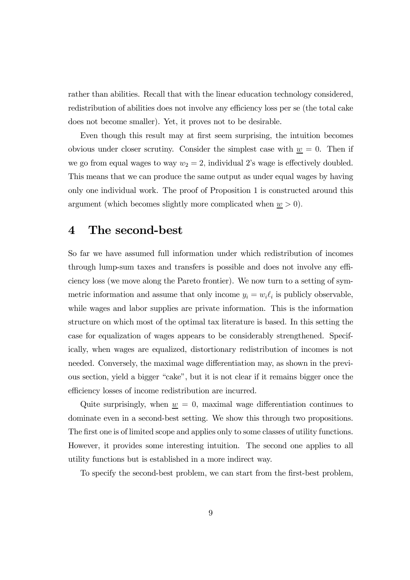rather than abilities. Recall that with the linear education technology considered, redistribution of abilities does not involve any efficiency loss per se (the total cake does not become smaller). Yet, it proves not to be desirable.

Even though this result may at first seem surprising, the intuition becomes obvious under closer scrutiny. Consider the simplest case with  $\underline{w} = 0$ . Then if we go from equal wages to way  $w_2 = 2$ , individual 2's wage is effectively doubled. This means that we can produce the same output as under equal wages by having only one individual work. The proof of Proposition 1 is constructed around this argument (which becomes slightly more complicated when  $\underline{w} > 0$ ).

### 4 The second-best

So far we have assumed full information under which redistribution of incomes through lump-sum taxes and transfers is possible and does not involve any efficiency loss (we move along the Pareto frontier). We now turn to a setting of symmetric information and assume that only income  $y_i = w_i \ell_i$  is publicly observable, while wages and labor supplies are private information. This is the information structure on which most of the optimal tax literature is based. In this setting the case for equalization of wages appears to be considerably strengthened. Specifically, when wages are equalized, distortionary redistribution of incomes is not needed. Conversely, the maximal wage differentiation may, as shown in the previous section, yield a bigger "cake", but it is not clear if it remains bigger once the efficiency losses of income redistribution are incurred.

Quite surprisingly, when  $\underline{w} = 0$ , maximal wage differentiation continues to dominate even in a second-best setting. We show this through two propositions. The first one is of limited scope and applies only to some classes of utility functions. However, it provides some interesting intuition. The second one applies to all utility functions but is established in a more indirect way.

To specify the second-best problem, we can start from the first-best problem,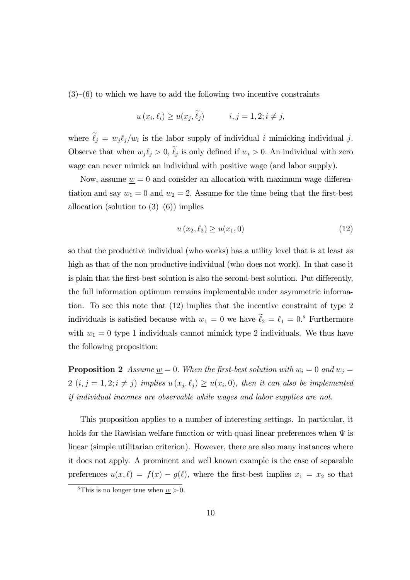$(3)$ – $(6)$  to which we have to add the following two incentive constraints

$$
u(x_i, \ell_i) \ge u(x_j, \tilde{\ell}_j) \qquad i, j = 1, 2; i \ne j,
$$

where  $\ell_j = w_j \ell_j / w_i$  is the labor supply of individual i mimicking individual j. Observe that when  $w_j \ell_j > 0$ ,  $\ell_j$  is only defined if  $w_i > 0$ . An individual with zero wage can never mimick an individual with positive wage (and labor supply).

Now, assume  $w = 0$  and consider an allocation with maximum wage differentiation and say  $w_1 = 0$  and  $w_2 = 2$ . Assume for the time being that the first-best allocation (solution to  $(3)–(6)$ ) implies

$$
u(x_2, \ell_2) \ge u(x_1, 0) \tag{12}
$$

so that the productive individual (who works) has a utility level that is at least as high as that of the non productive individual (who does not work). In that case it is plain that the first-best solution is also the second-best solution. Put differently, the full information optimum remains implementable under asymmetric information. To see this note that (12) implies that the incentive constraint of type 2 individuals is satisfied because with  $w_1 = 0$  we have  $\ell_2 = \ell_1 = 0$ .<sup>8</sup> Furthermore with  $w_1 = 0$  type 1 individuals cannot mimick type 2 individuals. We thus have the following proposition:

**Proposition 2** Assume  $\underline{w} = 0$ . When the first-best solution with  $w_i = 0$  and  $w_j = 0$  $2(i, j = 1, 2; i \neq j)$  implies  $u(x_j, \ell_j) \geq u(x_i, 0)$ , then it can also be implemented if individual incomes are observable while wages and labor supplies are not.

This proposition applies to a number of interesting settings. In particular, it holds for the Rawlsian welfare function or with quasi linear preferences when  $\Psi$  is linear (simple utilitarian criterion). However, there are also many instances where it does not apply. A prominent and well known example is the case of separable preferences  $u(x,\ell) = f(x) - g(\ell)$ , where the first-best implies  $x_1 = x_2$  so that

<sup>&</sup>lt;sup>8</sup>This is no longer true when  $w > 0$ .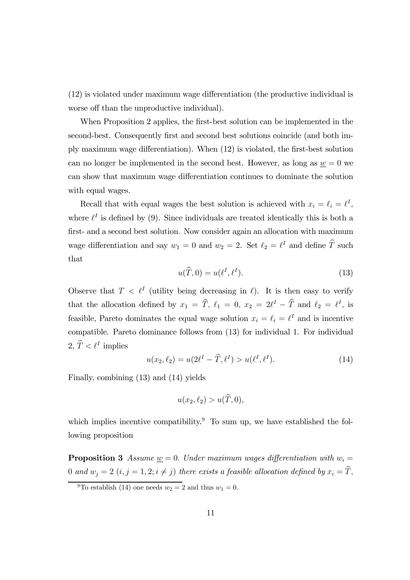(12) is violated under maximum wage differentiation (the productive individual is worse off than the unproductive individual).

When Proposition 2 applies, the first-best solution can be implemented in the second-best. Consequently first and second best solutions coincide (and both imply maximum wage differentiation). When (12) is violated, the first-best solution can no longer be implemented in the second best. However, as long as  $w = 0$  we can show that maximum wage differentiation continues to dominate the solution with equal wages.

Recall that with equal wages the best solution is achieved with  $x_i = \ell_i = \ell^I$ , where  $\ell^I$  is defined by (9). Since individuals are treated identically this is both a first- and a second best solution. Now consider again an allocation with maximum wage differentiation and say  $w_1 = 0$  and  $w_2 = 2$ . Set  $\ell_2 = \ell^I$  and define  $\hat{T}$  such that

$$
u(\widehat{T},0) = u(\ell^I, \ell^I). \tag{13}
$$

Observe that  $T < l^I$  (utility being decreasing in  $l$ ). It is then easy to verify that the allocation defined by  $x_1 = \hat{T}$ ,  $\ell_1 = 0$ ,  $x_2 = 2\ell^I - \hat{T}$  and  $\ell_2 = \ell^I$ , is feasible, Pareto dominates the equal wage solution  $x_i = \ell_i = \ell^I$  and is incentive compatible. Pareto dominance follows from (13) for individual 1. For individual 2,  $\hat{T} < \ell^I$  implies

$$
u(x_2, \ell_2) = u(2\ell^I - \widehat{T}, \ell^I) > u(\ell^I, \ell^I). \tag{14}
$$

Finally, combining (13) and (14) yields

$$
u(x_2, \ell_2) > u(\widehat{T}, 0),
$$

which implies incentive compatibility.<sup>9</sup> To sum up, we have established the following proposition

**Proposition 3** Assume  $\underline{w} = 0$ . Under maximum wages differentiation with  $w_i =$ 0 and  $w_j = 2$   $(i, j = 1, 2; i \neq j)$  there exists a feasible allocation defined by  $x_i = \hat{T}$ ,

<sup>&</sup>lt;sup>9</sup>To establish (14) one needs  $w_2 = 2$  and thus  $w_1 = 0$ .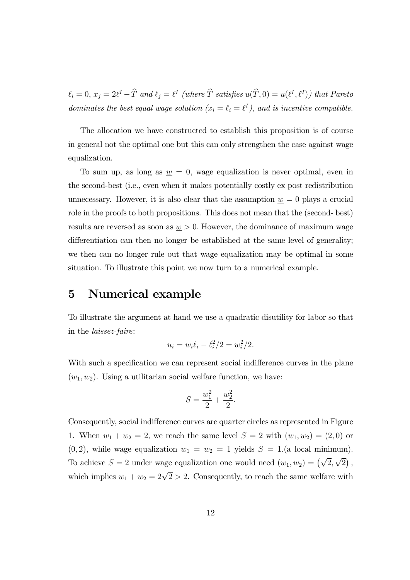$\ell_i = 0, x_j = 2\ell^I - \hat{T}$  and  $\ell_j = \ell^I$  (where  $\hat{T}$  satisfies  $u(\hat{T}, 0) = u(\ell^I, \ell^I)$ ) that Pareto dominates the best equal wage solution  $(x_i = \ell_i = \ell^I)$ , and is incentive compatible.

The allocation we have constructed to establish this proposition is of course in general not the optimal one but this can only strengthen the case against wage equalization.

To sum up, as long as  $\underline{w} = 0$ , wage equalization is never optimal, even in the second-best (i.e., even when it makes potentially costly ex post redistribution unnecessary. However, it is also clear that the assumption  $\underline{w} = 0$  plays a crucial role in the proofs to both propositions. This does not mean that the (second- best) results are reversed as soon as  $\underline{w} > 0$ . However, the dominance of maximum wage differentiation can then no longer be established at the same level of generality; we then can no longer rule out that wage equalization may be optimal in some situation. To illustrate this point we now turn to a numerical example.

### 5 Numerical example

To illustrate the argument at hand we use a quadratic disutility for labor so that in the laissez-faire:

$$
u_i = w_i \ell_i - \ell_i^2 / 2 = w_i^2 / 2.
$$

With such a specification we can represent social indifference curves in the plane  $(w_1, w_2)$ . Using a utilitarian social welfare function, we have:

$$
S = \frac{w_1^2}{2} + \frac{w_2^2}{2}.
$$

Consequently, social indifference curves are quarter circles as represented in Figure 1. When  $w_1 + w_2 = 2$ , we reach the same level  $S = 2$  with  $(w_1, w_2) = (2, 0)$  or  $(0, 2)$ , while wage equalization  $w_1 = w_2 = 1$  yields  $S = 1$ . (a local minimum). To achieve  $S = 2$  under wage equalization one would need  $(w_1, w_2) = (\sqrt{2}, \sqrt{2})$ , which implies  $w_1 + w_2 = 2\sqrt{2} > 2$ . Consequently, to reach the same welfare with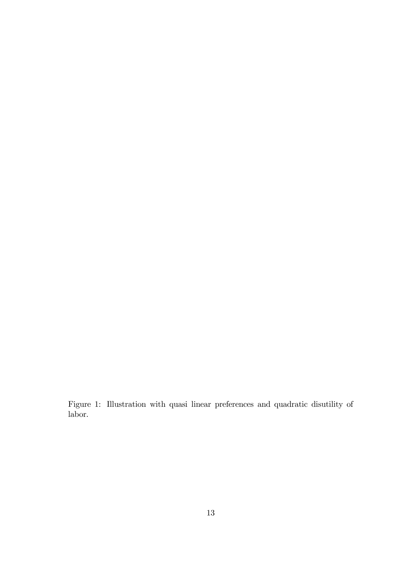Figure 1: Illustration with quasi linear preferences and quadratic disutility of labor.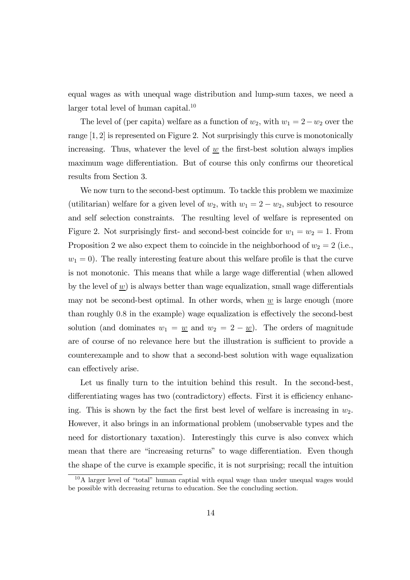equal wages as with unequal wage distribution and lump-sum taxes, we need a larger total level of human capital. $10$ 

The level of (per capita) welfare as a function of  $w_2$ , with  $w_1 = 2 - w_2$  over the range [1, 2] is represented on Figure 2. Not surprisingly this curve is monotonically increasing. Thus, whatever the level of  $w$  the first-best solution always implies maximum wage differentiation. But of course this only confirms our theoretical results from Section 3.

We now turn to the second-best optimum. To tackle this problem we maximize (utilitarian) welfare for a given level of  $w_2$ , with  $w_1 = 2 - w_2$ , subject to resource and self selection constraints. The resulting level of welfare is represented on Figure 2. Not surprisingly first- and second-best coincide for  $w_1 = w_2 = 1$ . From Proposition 2 we also expect them to coincide in the neighborhood of  $w_2 = 2$  (i.e.,  $w_1 = 0$ ). The really interesting feature about this welfare profile is that the curve is not monotonic. This means that while a large wage differential (when allowed by the level of  $\underline{w}$ ) is always better than wage equalization, small wage differentials may not be second-best optimal. In other words, when  $\underline{w}$  is large enough (more than roughly 0.8 in the example) wage equalization is effectively the second-best solution (and dominates  $w_1 = w$  and  $w_2 = 2 - w$ ). The orders of magnitude are of course of no relevance here but the illustration is sufficient to provide a counterexample and to show that a second-best solution with wage equalization can effectively arise.

Let us finally turn to the intuition behind this result. In the second-best, differentiating wages has two (contradictory) effects. First it is efficiency enhancing. This is shown by the fact the first best level of welfare is increasing in  $w_2$ . However, it also brings in an informational problem (unobservable types and the need for distortionary taxation). Interestingly this curve is also convex which mean that there are "increasing returns" to wage differentiation. Even though the shape of the curve is example specific, it is not surprising; recall the intuition

<sup>&</sup>lt;sup>10</sup>A larger level of "total" human captial with equal wage than under unequal wages would be possible with decreasing returns to education. See the concluding section.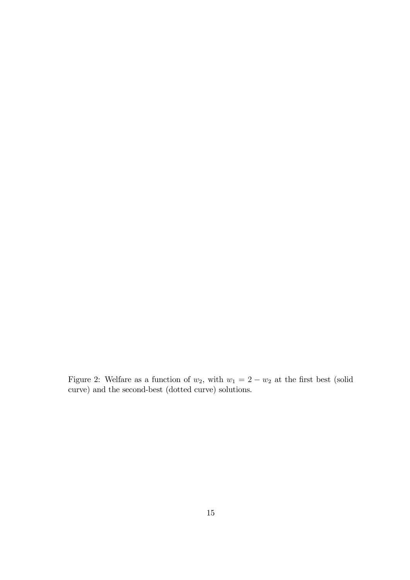Figure 2: Welfare as a function of  $w_2$ , with  $w_1 = 2 - w_2$  at the first best (solid curve) and the second-best (dotted curve) solutions.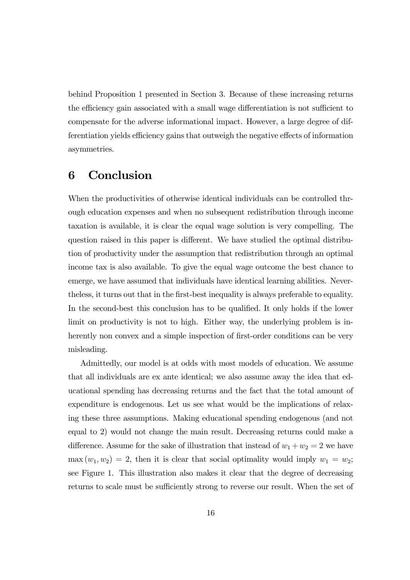behind Proposition 1 presented in Section 3. Because of these increasing returns the efficiency gain associated with a small wage differentiation is not sufficient to compensate for the adverse informational impact. However, a large degree of differentiation yields efficiency gains that outweigh the negative effects of information asymmetries.

# 6 Conclusion

When the productivities of otherwise identical individuals can be controlled through education expenses and when no subsequent redistribution through income taxation is available, it is clear the equal wage solution is very compelling. The question raised in this paper is different. We have studied the optimal distribution of productivity under the assumption that redistribution through an optimal income tax is also available. To give the equal wage outcome the best chance to emerge, we have assumed that individuals have identical learning abilities. Nevertheless, it turns out that in the first-best inequality is always preferable to equality. In the second-best this conclusion has to be qualified. It only holds if the lower limit on productivity is not to high. Either way, the underlying problem is inherently non convex and a simple inspection of first-order conditions can be very misleading.

Admittedly, our model is at odds with most models of education. We assume that all individuals are ex ante identical; we also assume away the idea that educational spending has decreasing returns and the fact that the total amount of expenditure is endogenous. Let us see what would be the implications of relaxing these three assumptions. Making educational spending endogenous (and not equal to 2) would not change the main result. Decreasing returns could make a difference. Assume for the sake of illustration that instead of  $w_1 + w_2 = 2$  we have  $\max(w_1, w_2) = 2$ , then it is clear that social optimality would imply  $w_1 = w_2$ ; see Figure 1. This illustration also makes it clear that the degree of decreasing returns to scale must be sufficiently strong to reverse our result. When the set of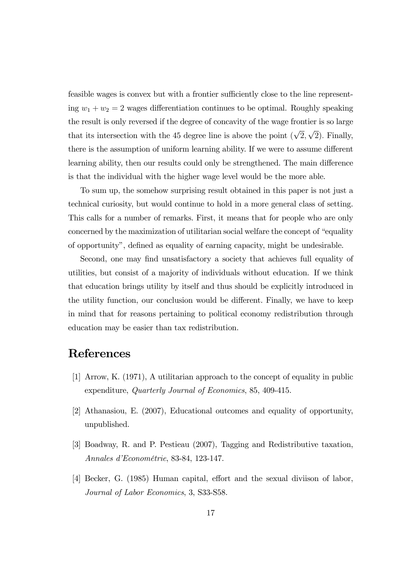feasible wages is convex but with a frontier sufficiently close to the line representing  $w_1 + w_2 = 2$  wages differentiation continues to be optimal. Roughly speaking the result is only reversed if the degree of concavity of the wage frontier is so large that its intersection with the 45 degree line is above the point  $(\sqrt{2}, \sqrt{2})$ . Finally, there is the assumption of uniform learning ability. If we were to assume different learning ability, then our results could only be strengthened. The main difference is that the individual with the higher wage level would be the more able.

To sum up, the somehow surprising result obtained in this paper is not just a technical curiosity, but would continue to hold in a more general class of setting. This calls for a number of remarks. First, it means that for people who are only concerned by the maximization of utilitarian social welfare the concept of "equality of opportunity", defined as equality of earning capacity, might be undesirable.

Second, one may find unsatisfactory a society that achieves full equality of utilities, but consist of a majority of individuals without education. If we think that education brings utility by itself and thus should be explicitly introduced in the utility function, our conclusion would be different. Finally, we have to keep in mind that for reasons pertaining to political economy redistribution through education may be easier than tax redistribution.

### References

- [1] Arrow, K. (1971), A utilitarian approach to the concept of equality in public expenditure, Quarterly Journal of Economics, 85, 409-415.
- [2] Athanasiou, E. (2007), Educational outcomes and equality of opportunity, unpublished.
- [3] Boadway, R. and P. Pestieau (2007), Tagging and Redistributive taxation, Annales d'Econométrie, 83-84, 123-147.
- [4] Becker, G. (1985) Human capital, effort and the sexual diviison of labor, Journal of Labor Economics, 3, S33-S58.